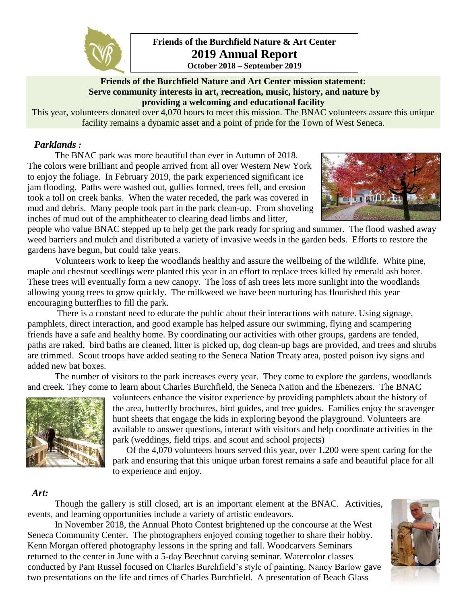

**Friends of the Burchfield Nature & Art Center 2019 Annual Report October 2018 – September 2019**

### **Friends of the Burchfield Nature and Art Center mission statement: Serve community interests in art, recreation, music, history, and nature by providing a welcoming and educational facility**

This year, volunteers donated over 4,070 hours to meet this mission. The BNAC volunteers assure this unique facility remains a dynamic asset and a point of pride for the Town of West Seneca.

# *Parklands :*

The BNAC park was more beautiful than ever in Autumn of 2018. The colors were brilliant and people arrived from all over Western New York to enjoy the foliage. In February 2019, the park experienced significant ice jam flooding. Paths were washed out, gullies formed, trees fell, and erosion took a toll on creek banks. When the water receded, the park was covered in mud and debris. Many people took part in the park clean-up. From shoveling inches of mud out of the amphitheater to clearing dead limbs and litter,



people who value BNAC stepped up to help get the park ready for spring and summer. The flood washed away weed barriers and mulch and distributed a variety of invasive weeds in the garden beds. Efforts to restore the gardens have begun, but could take years.

Volunteers work to keep the woodlands healthy and assure the wellbeing of the wildlife. White pine, maple and chestnut seedlings were planted this year in an effort to replace trees killed by emerald ash borer. These trees will eventually form a new canopy. The loss of ash trees lets more sunlight into the woodlands allowing young trees to grow quickly. The milkweed we have been nurturing has flourished this year encouraging butterflies to fill the park.

There is a constant need to educate the public about their interactions with nature. Using signage, pamphlets, direct interaction, and good example has helped assure our swimming, flying and scampering friends have a safe and healthy home. By coordinating our activities with other groups, gardens are tended, paths are raked, bird baths are cleaned, litter is picked up, dog clean-up bags are provided, and trees and shrubs are trimmed. Scout troops have added seating to the Seneca Nation Treaty area, posted poison ivy signs and added new bat boxes.

The number of visitors to the park increases every year. They come to explore the gardens, woodlands and creek. They come to learn about Charles Burchfield, the Seneca Nation and the Ebenezers. The BNAC



volunteers enhance the visitor experience by providing pamphlets about the history of the area, butterfly brochures, bird guides, and tree guides. Families enjoy the scavenger hunt sheets that engage the kids in exploring beyond the playground. Volunteers are available to answer questions, interact with visitors and help coordinate activities in the park (weddings, field trips. and scout and school projects)

Of the 4,070 volunteers hours served this year, over 1,200 were spent caring for the park and ensuring that this unique urban forest remains a safe and beautiful place for all to experience and enjoy.

#### *Art:*

Though the gallery is still closed, art is an important element at the BNAC. Activities, events, and learning opportunities include a variety of artistic endeavors.

In November 2018, the Annual Photo Contest brightened up the concourse at the West Seneca Community Center. The photographers enjoyed coming together to share their hobby. Kenn Morgan offered photography lessons in the spring and fall. Woodcarvers Seminars returned to the center in June with a 5-day Beechnut carving seminar. Watercolor classes conducted by Pam Russel focused on Charles Burchfield's style of painting. Nancy Barlow gave two presentations on the life and times of Charles Burchfield. A presentation of Beach Glass